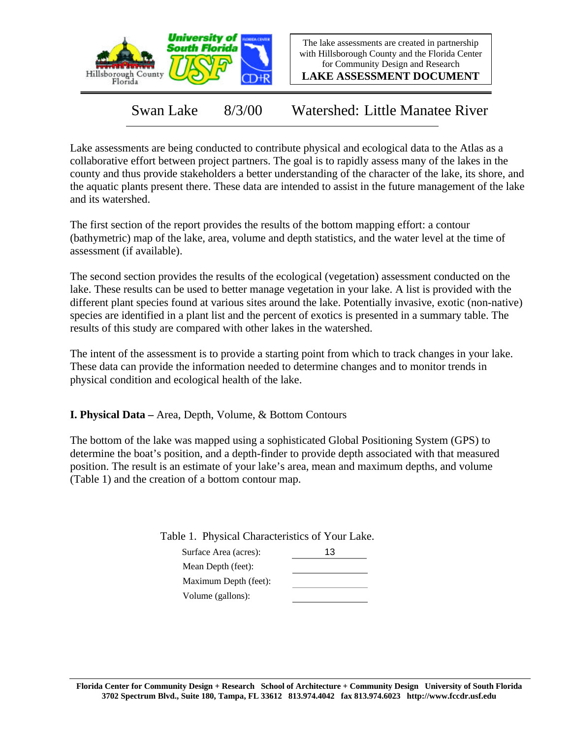

The lake assessments are created in partnership with Hillsborough County and the Florida Center for Community Design and Research

**LAKE ASSESSMENT DOCUMENT**

Swan Lake 8/3/00 Watershed: Little Manatee River

Lake assessments are being conducted to contribute physical and ecological data to the Atlas as a collaborative effort between project partners. The goal is to rapidly assess many of the lakes in the county and thus provide stakeholders a better understanding of the character of the lake, its shore, and the aquatic plants present there. These data are intended to assist in the future management of the lake and its watershed.

The first section of the report provides the results of the bottom mapping effort: a contour (bathymetric) map of the lake, area, volume and depth statistics, and the water level at the time of assessment (if available).

The second section provides the results of the ecological (vegetation) assessment conducted on the lake. These results can be used to better manage vegetation in your lake. A list is provided with the different plant species found at various sites around the lake. Potentially invasive, exotic (non-native) species are identified in a plant list and the percent of exotics is presented in a summary table. The results of this study are compared with other lakes in the watershed.

The intent of the assessment is to provide a starting point from which to track changes in your lake. These data can provide the information needed to determine changes and to monitor trends in physical condition and ecological health of the lake.

**I. Physical Data –** Area, Depth, Volume, & Bottom Contours

The bottom of the lake was mapped using a sophisticated Global Positioning System (GPS) to determine the boat's position, and a depth-finder to provide depth associated with that measured position. The result is an estimate of your lake's area, mean and maximum depths, and volume (Table 1) and the creation of a bottom contour map.

Table 1. Physical Characteristics of Your Lake.

| Surface Area (acres): | 13 |
|-----------------------|----|
| Mean Depth (feet):    |    |
| Maximum Depth (feet): |    |
| Volume (gallons):     |    |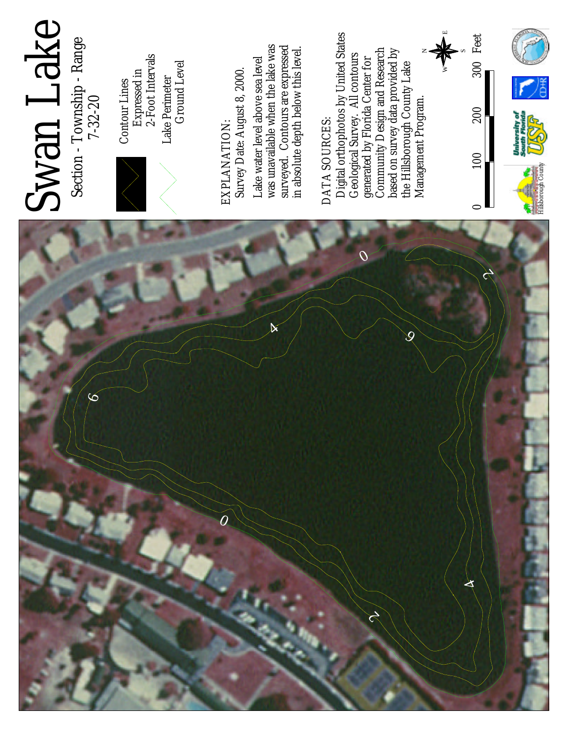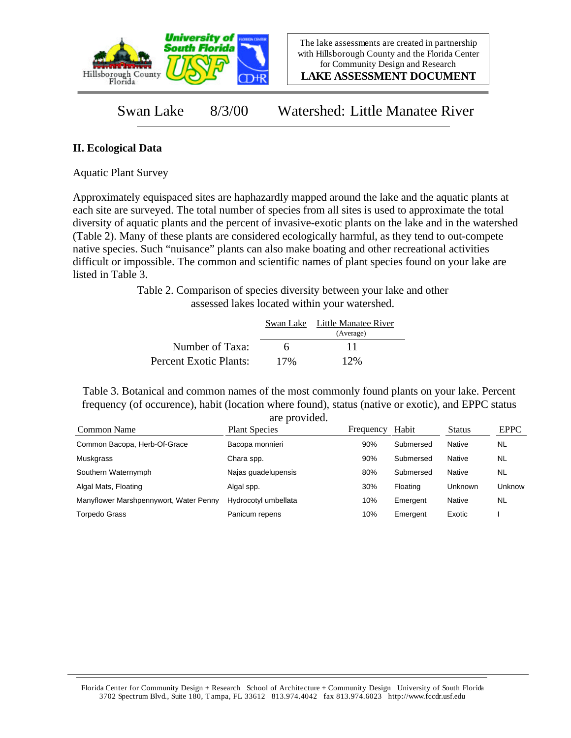

**LAKE ASSESSMENT DOCUMENT**

Swan Lake 8/3/00 Watershed: Little Manatee River

## **II. Ecological Data**

Aquatic Plant Survey

Approximately equispaced sites are haphazardly mapped around the lake and the aquatic plants at each site are surveyed. The total number of species from all sites is used to approximate the total diversity of aquatic plants and the percent of invasive-exotic plants on the lake and in the watershed (Table 2). Many of these plants are considered ecologically harmful, as they tend to out-compete native species. Such "nuisance" plants can also make boating and other recreational activities difficult or impossible. The common and scientific names of plant species found on your lake are listed in Table 3.

> Table 2. Comparison of species diversity between your lake and other assessed lakes located within your watershed.

|                        |     | Swan Lake Little Manatee River<br>(Average) |  |
|------------------------|-----|---------------------------------------------|--|
| Number of Taxa:        | 6   | 11                                          |  |
| Percent Exotic Plants: | 17% | 12%                                         |  |

Table 3. Botanical and common names of the most commonly found plants on your lake. Percent frequency (of occurence), habit (location where found), status (native or exotic), and EPPC status are provided.

| Common Name                            | are provided.<br><b>Plant Species</b> | Frequency | Habit     | <b>Status</b>  | <b>EPPC</b> |
|----------------------------------------|---------------------------------------|-----------|-----------|----------------|-------------|
| Common Bacopa, Herb-Of-Grace           | Bacopa monnieri                       | 90%       | Submersed | Native         | NL          |
| Muskgrass                              | Chara spp.                            | 90%       | Submersed | Native         | <b>NL</b>   |
| Southern Waternymph                    | Najas guadelupensis                   | 80%       | Submersed | Native         | <b>NL</b>   |
| Algal Mats, Floating                   | Algal spp.                            | 30%       | Floating  | <b>Unknown</b> | Unknow      |
| Manyflower Marshpennywort, Water Penny | Hydrocotyl umbellata                  | 10%       | Emergent  | Native         | NL          |
| <b>Torpedo Grass</b>                   | Panicum repens                        | 10%       | Emergent  | Exotic         |             |